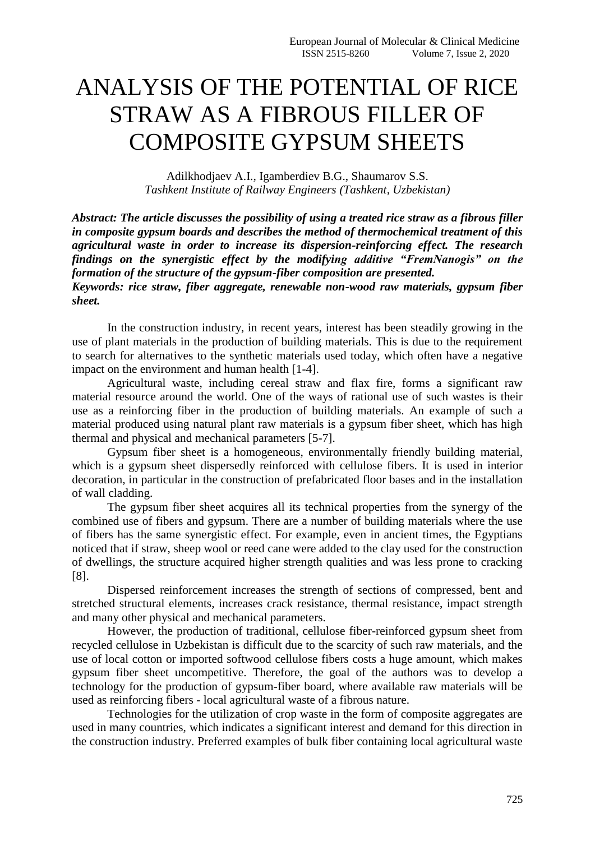## ANALYSIS OF THE POTENTIAL OF RICE STRAW AS A FIBROUS FILLER OF COMPOSITE GYPSUM SHEETS

Adilkhodjaev A.I., Igamberdiev B.G., Shaumarov S.S. *Tashkent Institute of Railway Engineers (Tashkent, Uzbekistan)*

*Abstract: The article discusses the possibility of using a treated rice straw as a fibrous filler in composite gypsum boards and describes the method of thermochemical treatment of this agricultural waste in order to increase its dispersion-reinforcing effect. The research findings on the synergistic effect by the modifying additive "FremNanogis" on the formation of the structure of the gypsum-fiber composition are presented.*

*Keywords: rice straw, fiber aggregate, renewable non-wood raw materials, gypsum fiber sheet.*

In the construction industry, in recent years, interest has been steadily growing in the use of plant materials in the production of building materials. This is due to the requirement to search for alternatives to the synthetic materials used today, which often have a negative impact on the environment and human health [1-4].

Agricultural waste, including cereal straw and flax fire, forms a significant raw material resource around the world. One of the ways of rational use of such wastes is their use as a reinforcing fiber in the production of building materials. An example of such a material produced using natural plant raw materials is a gypsum fiber sheet, which has high thermal and physical and mechanical parameters [5-7].

Gypsum fiber sheet is a homogeneous, environmentally friendly building material, which is a gypsum sheet dispersedly reinforced with cellulose fibers. It is used in interior decoration, in particular in the construction of prefabricated floor bases and in the installation of wall cladding.

The gypsum fiber sheet acquires all its technical properties from the synergy of the combined use of fibers and gypsum. There are a number of building materials where the use of fibers has the same synergistic effect. For example, even in ancient times, the Egyptians noticed that if straw, sheep wool or reed cane were added to the clay used for the construction of dwellings, the structure acquired higher strength qualities and was less prone to cracking [8].

Dispersed reinforcement increases the strength of sections of compressed, bent and stretched structural elements, increases crack resistance, thermal resistance, impact strength and many other physical and mechanical parameters.

However, the production of traditional, cellulose fiber-reinforced gypsum sheet from recycled cellulose in Uzbekistan is difficult due to the scarcity of such raw materials, and the use of local cotton or imported softwood cellulose fibers costs a huge amount, which makes gypsum fiber sheet uncompetitive. Therefore, the goal of the authors was to develop a technology for the production of gypsum-fiber board, where available raw materials will be used as reinforcing fibers - local agricultural waste of a fibrous nature.

Technologies for the utilization of crop waste in the form of composite aggregates are used in many countries, which indicates a significant interest and demand for this direction in the construction industry. Preferred examples of bulk fiber containing local agricultural waste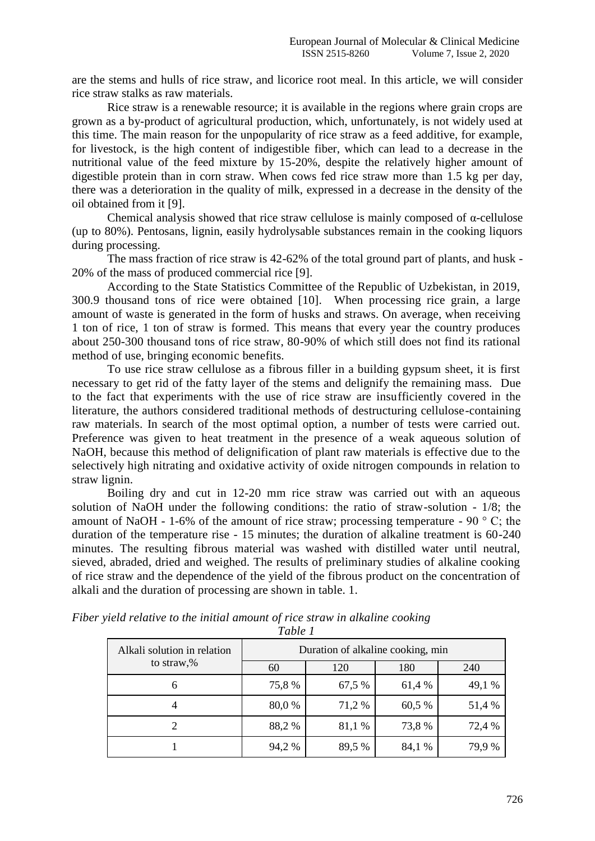are the stems and hulls of rice straw, and licorice root meal. In this article, we will consider rice straw stalks as raw materials.

Rice straw is a renewable resource; it is available in the regions where grain crops are grown as a by-product of agricultural production, which, unfortunately, is not widely used at this time. The main reason for the unpopularity of rice straw as a feed additive, for example, for livestock, is the high content of indigestible fiber, which can lead to a decrease in the nutritional value of the feed mixture by 15-20%, despite the relatively higher amount of digestible protein than in corn straw. When cows fed rice straw more than 1.5 kg per day, there was a deterioration in the quality of milk, expressed in a decrease in the density of the oil obtained from it [9].

Chemical analysis showed that rice straw cellulose is mainly composed of α-cellulose (up to 80%). Pentosans, lignin, easily hydrolysable substances remain in the cooking liquors during processing.

The mass fraction of rice straw is 42-62% of the total ground part of plants, and husk - 20% of the mass of produced commercial rice [9].

According to the State Statistics Committee of the Republic of Uzbekistan, in 2019, 300.9 thousand tons of rice were obtained [10]. When processing rice grain, a large amount of waste is generated in the form of husks and straws. On average, when receiving 1 ton of rice, 1 ton of straw is formed. This means that every year the country produces about 250-300 thousand tons of rice straw, 80-90% of which still does not find its rational method of use, bringing economic benefits.

To use rice straw cellulose as a fibrous filler in a building gypsum sheet, it is first necessary to get rid of the fatty layer of the stems and delignify the remaining mass. Due to the fact that experiments with the use of rice straw are insufficiently covered in the literature, the authors considered traditional methods of destructuring cellulose-containing raw materials. In search of the most optimal option, a number of tests were carried out. Preference was given to heat treatment in the presence of a weak aqueous solution of NaOH, because this method of delignification of plant raw materials is effective due to the selectively high nitrating and oxidative activity of oxide nitrogen compounds in relation to straw lignin.

Boiling dry and cut in 12-20 mm rice straw was carried out with an aqueous solution of NaOH under the following conditions: the ratio of straw-solution - 1/8; the amount of NaOH - 1-6% of the amount of rice straw; processing temperature - 90 ° С; the duration of the temperature rise - 15 minutes; the duration of alkaline treatment is 60-240 minutes. The resulting fibrous material was washed with distilled water until neutral, sieved, abraded, dried and weighed. The results of preliminary studies of alkaline cooking of rice straw and the dependence of the yield of the fibrous product on the concentration of alkali and the duration of processing are shown in table. 1.

| Alkali solution in relation<br>to straw,% | Duration of alkaline cooking, min |        |        |        |  |
|-------------------------------------------|-----------------------------------|--------|--------|--------|--|
|                                           | 60                                | 120    | 180    | 240    |  |
| 6                                         | 75,8%                             | 67,5 % | 61,4 % | 49,1 % |  |
| $\overline{4}$                            | 80,0 %                            | 71,2 % | 60,5 % | 51,4 % |  |
|                                           | 88,2%                             | 81,1 % | 73,8 % | 72,4 % |  |
|                                           | 94,2 %                            | 89,5 % | 84,1 % | 79.9 % |  |

*Fiber yield relative to the initial amount of rice straw in alkaline cooking Table 1*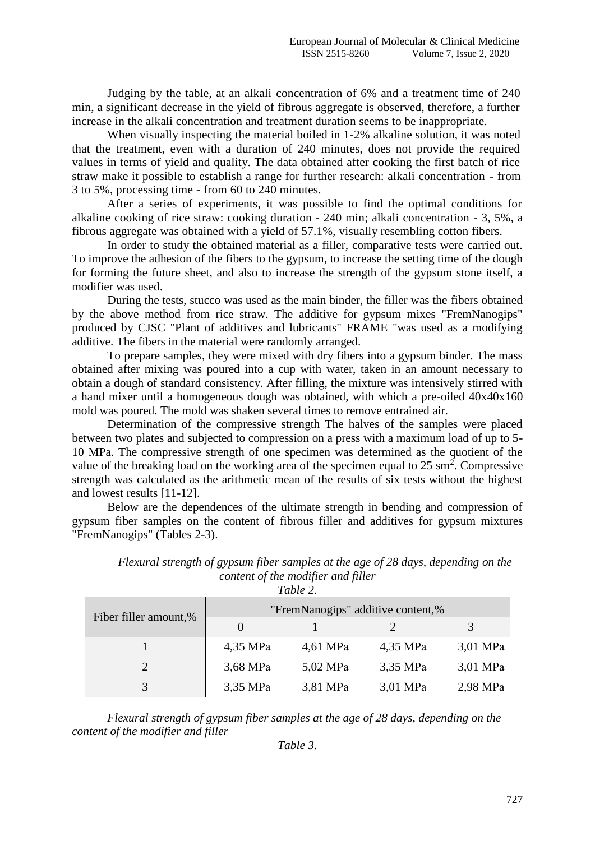Judging by the table, at an alkali concentration of 6% and a treatment time of 240 min, a significant decrease in the yield of fibrous aggregate is observed, therefore, a further increase in the alkali concentration and treatment duration seems to be inappropriate.

When visually inspecting the material boiled in 1-2% alkaline solution, it was noted that the treatment, even with a duration of 240 minutes, does not provide the required values in terms of yield and quality. The data obtained after cooking the first batch of rice straw make it possible to establish a range for further research: alkali concentration - from 3 to 5%, processing time - from 60 to 240 minutes.

After a series of experiments, it was possible to find the optimal conditions for alkaline cooking of rice straw: cooking duration - 240 min; alkali concentration - 3, 5%, a fibrous aggregate was obtained with a yield of 57.1%, visually resembling cotton fibers.

In order to study the obtained material as a filler, comparative tests were carried out. To improve the adhesion of the fibers to the gypsum, to increase the setting time of the dough for forming the future sheet, and also to increase the strength of the gypsum stone itself, a modifier was used.

During the tests, stucco was used as the main binder, the filler was the fibers obtained by the above method from rice straw. The additive for gypsum mixes "FremNanogips" produced by CJSC "Plant of additives and lubricants" FRAME "was used as a modifying additive. The fibers in the material were randomly arranged.

To prepare samples, they were mixed with dry fibers into a gypsum binder. The mass obtained after mixing was poured into a cup with water, taken in an amount necessary to obtain a dough of standard consistency. After filling, the mixture was intensively stirred with a hand mixer until a homogeneous dough was obtained, with which a pre-oiled 40x40x160 mold was poured. The mold was shaken several times to remove entrained air.

Determination of the compressive strength The halves of the samples were placed between two plates and subjected to compression on a press with a maximum load of up to 5- 10 MPa. The compressive strength of one specimen was determined as the quotient of the value of the breaking load on the working area of the specimen equal to  $25 \text{ sm}^2$ . Compressive strength was calculated as the arithmetic mean of the results of six tests without the highest and lowest results [11-12].

Below are the dependences of the ultimate strength in bending and compression of gypsum fiber samples on the content of fibrous filler and additives for gypsum mixtures "FremNanogips" (Tables 2-3).

| Table 2.              |                                   |          |          |          |  |  |  |
|-----------------------|-----------------------------------|----------|----------|----------|--|--|--|
| Fiber filler amount,% | "FremNanogips" additive content,% |          |          |          |  |  |  |
|                       |                                   |          |          |          |  |  |  |
|                       | 4,35 MPa                          | 4,61 MPa | 4,35 MPa | 3,01 MPa |  |  |  |
|                       | 3,68 MPa                          | 5,02 MPa | 3,35 MPa | 3,01 MPa |  |  |  |
|                       | 3,35 MPa                          | 3,81 MPa | 3,01 MPa | 2,98 MPa |  |  |  |

*Flexural strength of gypsum fiber samples at the age of 28 days, depending on the content of the modifier and filler*

*Flexural strength of gypsum fiber samples at the age of 28 days, depending on the content of the modifier and filler*

*Table 3.*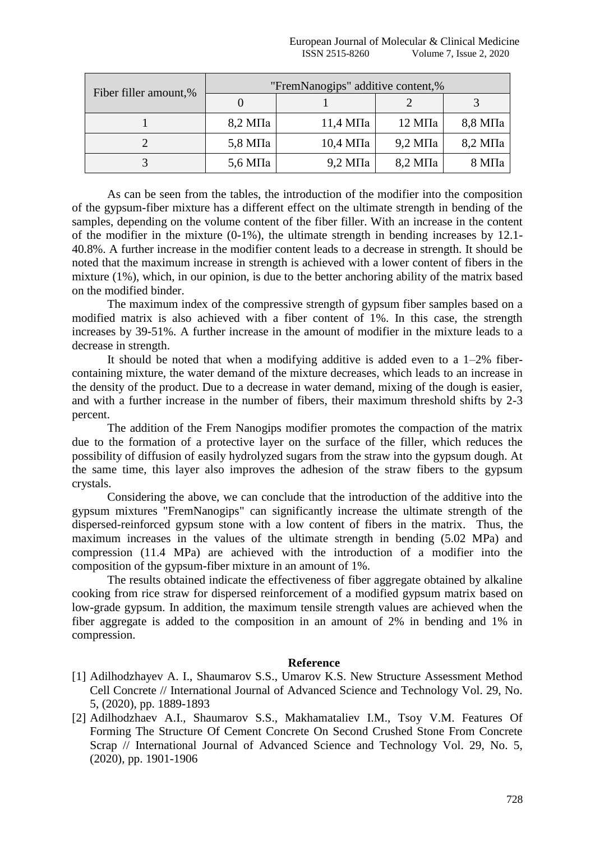| Fiber filler amount,% | "FremNanogips" additive content,% |                      |                    |                    |  |
|-----------------------|-----------------------------------|----------------------|--------------------|--------------------|--|
|                       |                                   |                      |                    |                    |  |
|                       | $8,2 \text{ M}$ Ia                | $11,4 \text{ M}$ IIa | $12 \text{ M}$ Ia  | $8,8$ M $\Pi$ a    |  |
|                       | $5,8 \text{ M}$ Ia                | $10.4$ M $\Pi$ a     | $9,2$ M $\Pi$ a    | $8,2 \text{ M}$ Ia |  |
|                       | $5,6 \text{ M}$ Ia                | $9,2$ M $\Pi$ a      | $8,2 \text{ M}$ Ia | $8\,\mathrm{M}$ Ia |  |

As can be seen from the tables, the introduction of the modifier into the composition of the gypsum-fiber mixture has a different effect on the ultimate strength in bending of the samples, depending on the volume content of the fiber filler. With an increase in the content of the modifier in the mixture  $(0-1\%)$ , the ultimate strength in bending increases by 12.1-40.8%. A further increase in the modifier content leads to a decrease in strength. It should be noted that the maximum increase in strength is achieved with a lower content of fibers in the mixture (1%), which, in our opinion, is due to the better anchoring ability of the matrix based on the modified binder.

The maximum index of the compressive strength of gypsum fiber samples based on a modified matrix is also achieved with a fiber content of 1%. In this case, the strength increases by 39-51%. A further increase in the amount of modifier in the mixture leads to a decrease in strength.

It should be noted that when a modifying additive is added even to a  $1-2\%$  fibercontaining mixture, the water demand of the mixture decreases, which leads to an increase in the density of the product. Due to a decrease in water demand, mixing of the dough is easier, and with a further increase in the number of fibers, their maximum threshold shifts by 2-3 percent.

The addition of the Frem Nanogips modifier promotes the compaction of the matrix due to the formation of a protective layer on the surface of the filler, which reduces the possibility of diffusion of easily hydrolyzed sugars from the straw into the gypsum dough. At the same time, this layer also improves the adhesion of the straw fibers to the gypsum crystals.

Considering the above, we can conclude that the introduction of the additive into the gypsum mixtures "FremNanogips" can significantly increase the ultimate strength of the dispersed-reinforced gypsum stone with a low content of fibers in the matrix. Thus, the maximum increases in the values of the ultimate strength in bending (5.02 MPa) and compression (11.4 MPa) are achieved with the introduction of a modifier into the composition of the gypsum-fiber mixture in an amount of 1%.

The results obtained indicate the effectiveness of fiber aggregate obtained by alkaline cooking from rice straw for dispersed reinforcement of a modified gypsum matrix based on low-grade gypsum. In addition, the maximum tensile strength values are achieved when the fiber aggregate is added to the composition in an amount of 2% in bending and 1% in compression.

## **Reference**

- [1] Adilhodzhayev A. I., Shaumarov S.S., Umarov K.S. New Structure Assessment Method Cell Concrete // International Journal of Advanced Science and Technology Vol. 29, No. 5, (2020), pp. 1889-1893
- [2] Adilhodzhaev A.I., Shaumarov S.S., Makhamataliev I.M., Tsoy V.M. Features Of Forming The Structure Of Cement Concrete On Second Crushed Stone From Concrete Scrap // International Journal of Advanced Science and Technology Vol. 29, No. 5, (2020), pp. 1901-1906